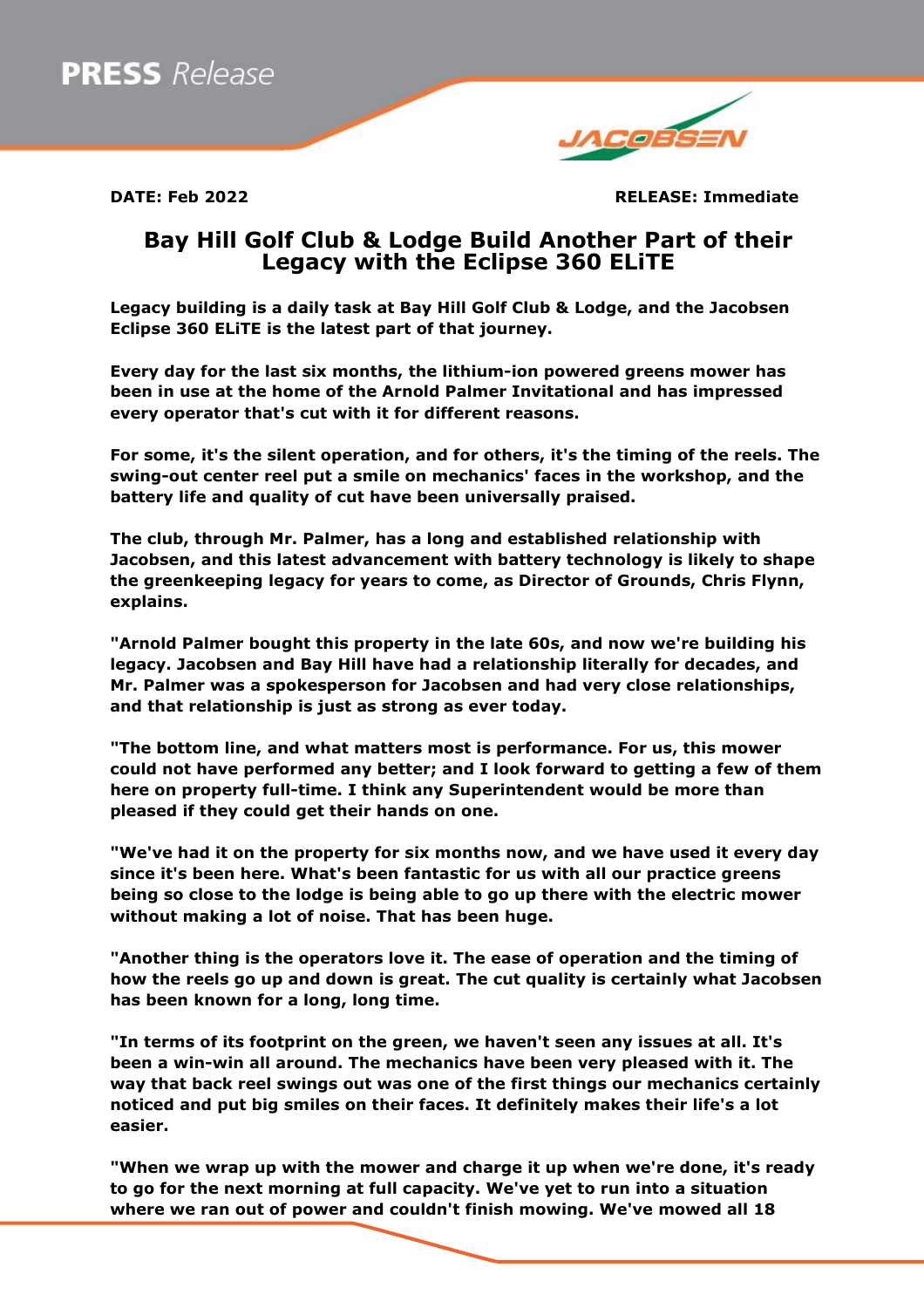

**DATE: Feb 2022 RELEASE: Immediate**

## **Bay Hill Golf Club & Lodge Build Another Part of their Legacy with the Eclipse 360 ELiTE**

**Legacy building is a daily task at Bay Hill Golf Club & Lodge, and the Jacobsen Eclipse 360 ELiTE is the latest part of that journey.**

**Every day for the last six months, the lithium-ion powered greens mower has been in use at the home of the Arnold Palmer Invitational and has impressed every operator that's cut with it for different reasons.**

**For some, it's the silent operation, and for others, it's the timing of the reels. The swing-out center reel put a smile on mechanics' faces in the workshop, and the battery life and quality of cut have been universally praised.**

**The club, through Mr. Palmer, has a long and established relationship with Jacobsen, and this latest advancement with battery technology is likely to shape the greenkeeping legacy for years to come, as Director of Grounds, Chris Flynn, explains.**

**"Arnold Palmer bought this property in the late 60s, and now we're building his legacy. Jacobsen and Bay Hill have had a relationship literally for decades, and Mr. Palmer was a spokesperson for Jacobsen and had very close relationships, and that relationship is just as strong as ever today.**

**"The bottom line, and what matters most is performance. For us, this mower could not have performed any better; and I look forward to getting a few of them here on property full-time. I think any Superintendent would be more than pleased if they could get their hands on one.**

**"We've had it on the property for six months now, and we have used it every day since it's been here. What's been fantastic for us with all our practice greens being so close to the lodge is being able to go up there with the electric mower without making a lot of noise. That has been huge.**

**"Another thing is the operators love it. The ease of operation and the timing of how the reels go up and down is great. The cut quality is certainly what Jacobsen has been known for a long, long time.**

**"In terms of its footprint on the green, we haven't seen any issues at all. It's been a win-win all around. The mechanics have been very pleased with it. The way that back reel swings out was one of the first things our mechanics certainly noticed and put big smiles on their faces. It definitely makes their life's a lot easier.**

**"When we wrap up with the mower and charge it up when we're done, it's ready to go for the next morning at full capacity. We've yet to run into a situation where we ran out of power and couldn't finish mowing. We've mowed all 18**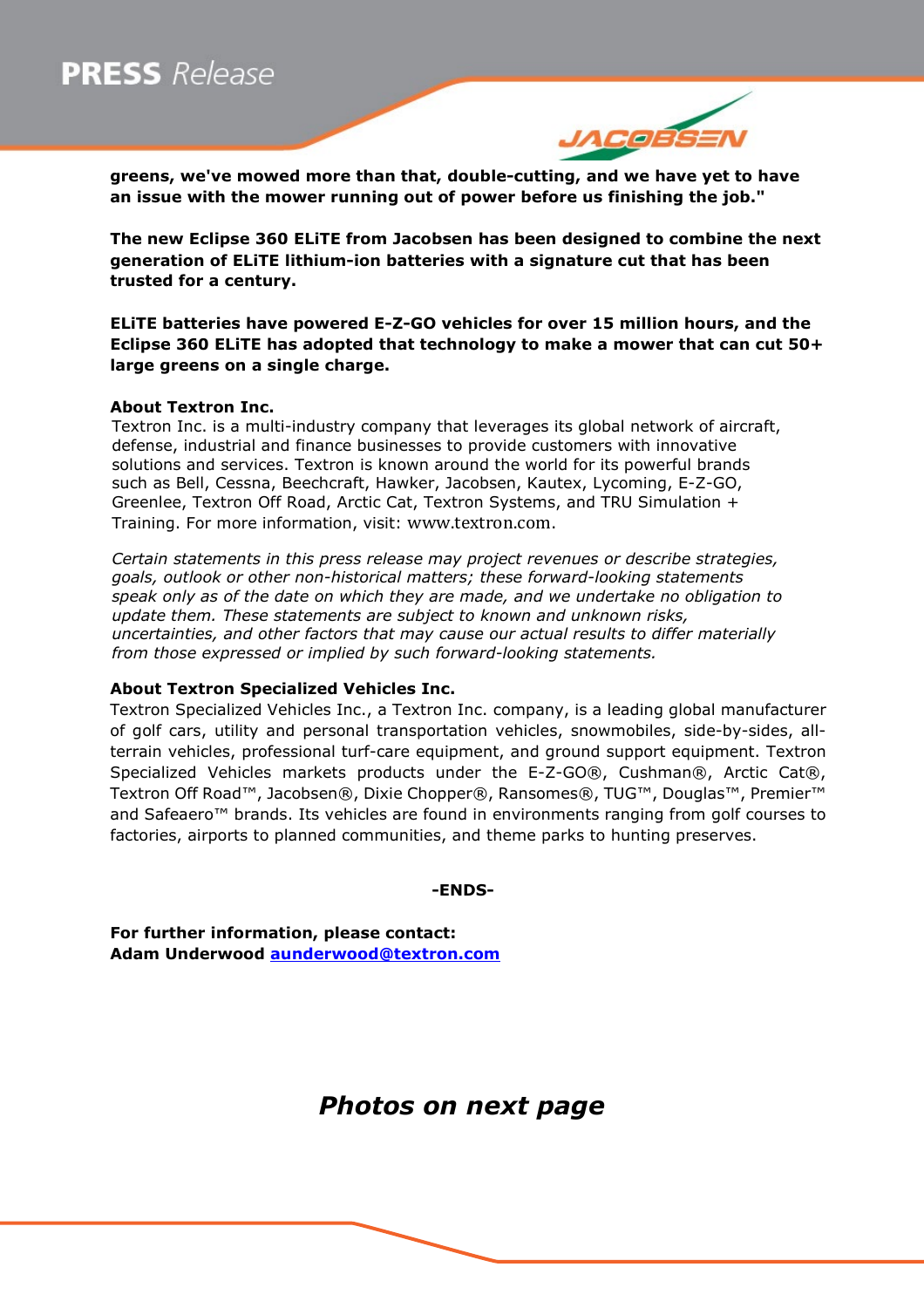# **PRESS** Release



**greens, we've mowed more than that, double-cutting, and we have yet to have an issue with the mower running out of power before us finishing the job."**

**The new Eclipse 360 ELiTE from Jacobsen has been designed to combine the next generation of ELiTE lithium-ion batteries with a signature cut that has been trusted for a century.**

**ELiTE batteries have powered E-Z-GO vehicles for over 15 million hours, and the Eclipse 360 ELiTE has adopted that technology to make a mower that can cut 50+ large greens on a single charge.**

### **About Textron Inc.**

Textron Inc. is a multi-industry company that leverages its global network of aircraft, defense, industrial and finance businesses to provide customers with innovative solutions and services. Textron is known around the world for its powerful brands such as Bell, Cessna, Beechcraft, Hawker, Jacobsen, Kautex, Lycoming, E-Z-GO, Greenlee, Textron Off Road, Arctic Cat, Textron Systems, and TRU Simulation + Training. For more information, visit: [www.textron.com](http://www.textron.com/).

*Certain statements in this press release may project revenues or describe strategies, goals, outlook or other non-historical matters; these forward-looking statements speak only as of the date on which they are made, and we undertake no obligation to update them. These statements are subject to known and unknown risks, uncertainties, and other factors that may cause our actual results to differ materially from those expressed or implied by such forward-looking statements.* 

#### **About Textron Specialized Vehicles Inc.**

Textron Specialized Vehicles Inc., a Textron Inc. company, is a leading global manufacturer of golf cars, utility and personal transportation vehicles, snowmobiles, side-by-sides, allterrain vehicles, professional turf-care equipment, and ground support equipment. Textron Specialized Vehicles markets products under the E-Z-GO®, Cushman®, Arctic Cat®, Textron Off Road™, Jacobsen®, Dixie Chopper®, Ransomes®, TUG™, Douglas™, Premier™ and Safeaero™ brands. Its vehicles are found in environments ranging from golf courses to factories, airports to planned communities, and theme parks to hunting preserves.

**-ENDS-**

**For further information, please contact: Adam Underwood [aunderwood@textron.com](mailto:aunderwood@textron.com)**

## *Photos on next page*